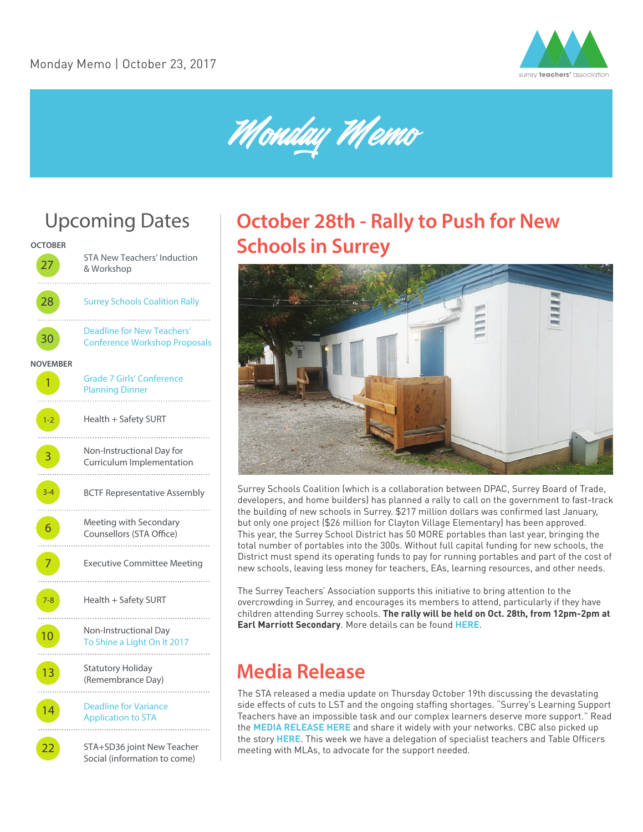

Monday Memo

# Upcoming Dates



# **October 28th - Rally to Push for New Schools in Surrey**



Surrey Schools Coalition (which is a collaboration between DPAC, Surrey Board of Trade, developers, and home builders) has planned a rally to call on the government to fast-track the building of new schools in Surrey. \$217 million dollars was confirmed last January, but only one project (\$26 million for Clayton Village Elementary) has been approved. This year, the Surrey School District has 50 MORE portables than last year, bringing the total number of portables into the 300s. Without full capital funding for new schools, the District must spend its operating funds to pay for running portables and part of the cost of new schools, leaving less money for teachers, EAs, learning resources, and other needs.

The Surrey Teachers' Association supports this initiative to bring attention to the overcrowding in Surrey, and encourages its members to attend, particularly if they have children attending Surrey schools. **The rally will be held on Oct. 28th, from 12pm-2pm at Earl Marriott Secondary**. More details can be found **[HERE](http://bit.ly/2gRhGgy)**.

### **Media Release**

The STA released a media update on Thursday October 19th discussing the devastating side effects of cuts to LST and the ongoing staffing shortages. "Surrey's Learning Support Teachers have an impossible task and our complex learners deserve more support." Read the **[MEDIA RELEASE HERE](http://bit.ly/2xQy1rE)** and share it widely with your networks. CBC also picked up the story **[HERE](http://www.cbc.ca/news/canada/british-columbia/it-s-heartbreaking-surrey-schools-short-on-support-for-students-with-special-needs-1.4362669?cmp=rss)**. This week we have a delegation of specialist teachers and Table Officers meeting with MLAs, to advocate for the support needed.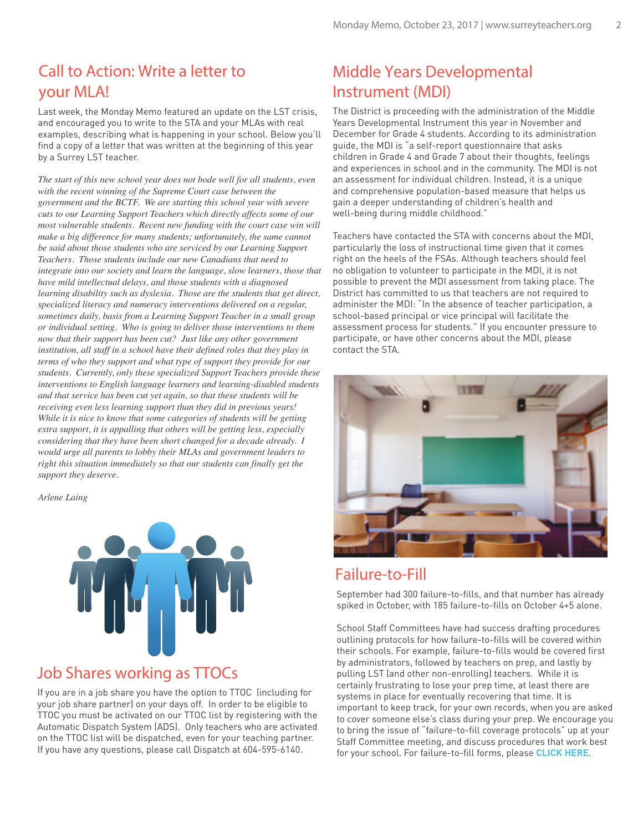#### Call to Action: Write a letter to your MLA!

Last week, the Monday Memo featured an update on the LST crisis, and encouraged you to write to the STA and your MLAs with real examples, describing what is happening in your school. Below you'll find a copy of a letter that was written at the beginning of this year by a Surrey LST teacher.

*The start of this new school year does not bode well for all students, even with the recent winning of the Supreme Court case between the government and the BCTF. We are starting this school year with severe cuts to our Learning Support Teachers which directly affects some of our most vulnerable students. Recent new funding with the court case win will make a big difference for many students; unfortunately, the same cannot be said about those students who are serviced by our Learning Support Teachers. Those students include our new Canadians that need to integrate into our society and learn the language, slow learners, those that have mild intellectual delays, and those students with a diagnosed learning disability such as dyslexia. Those are the students that get direct, specialized literacy and numeracy interventions delivered on a regular, sometimes daily, basis from a Learning Support Teacher in a small group or individual setting. Who is going to deliver those interventions to them now that their support has been cut? Just like any other government institution, all staff in a school have their defined roles that they play in terms of who they support and what type of support they provide for our students. Currently, only these specialized Support Teachers provide these interventions to English language learners and learning-disabled students and that service has been cut yet again, so that these students will be receiving even less learning support than they did in previous years! While it is nice to know that some categories of students will be getting extra support, it is appalling that others will be getting less, especially considering that they have been short changed for a decade already. I would urge all parents to lobby their MLAs and government leaders to right this situation immediately so that our students can finally get the support they deserve.*

*Arlene Laing*



#### Job Shares working as TTOCs

If you are in a job share you have the option to TTOC (including for your job share partner) on your days off. In order to be eligible to TTOC you must be activated on our TTOC list by registering with the Automatic Dispatch System (ADS). Only teachers who are activated on the TTOC list will be dispatched, even for your teaching partner. If you have any questions, please call Dispatch at 604-595-6140.

#### Middle Years Developmental Instrument (MDI)

The District is proceeding with the administration of the Middle Years Developmental Instrument this year in November and December for Grade 4 students. According to its administration guide, the MDI is "a self-report questionnaire that asks children in Grade 4 and Grade 7 about their thoughts, feelings and experiences in school and in the community. The MDI is not an assessment for individual children. Instead, it is a unique and comprehensive population-based measure that helps us gain a deeper understanding of children's health and well-being during middle childhood."

Teachers have contacted the STA with concerns about the MDI, particularly the loss of instructional time given that it comes right on the heels of the FSAs. Although teachers should feel no obligation to volunteer to participate in the MDI, it is not possible to prevent the MDI assessment from taking place. The District has committed to us that teachers are not required to administer the MDI: "In the absence of teacher participation, a school-based principal or vice principal will facilitate the assessment process for students." If you encounter pressure to participate, or have other concerns about the MDI, please contact the STA.



#### Failure-to-Fill

September had 300 failure-to-fills, and that number has already spiked in October, with 185 failure-to-fills on October 4+5 alone.

School Staff Committees have had success drafting procedures outlining protocols for how failure-to-fills will be covered within their schools. For example, failure-to-fills would be covered first by administrators, followed by teachers on prep, and lastly by pulling LST (and other non-enrolling) teachers. While it is certainly frustrating to lose your prep time, at least there are systems in place for eventually recovering that time. It is important to keep track, for your own records, when you are asked to cover someone else's class during your prep. We encourage you to bring the issue of "failure-to-fill coverage protocols" up at your Staff Committee meeting, and discuss procedures that work best for your school. For failure-to-fill forms, please **[CLICK HERE](http://www.surreyteachers.org/failure-to-fills-how-to-track-and-to-who/)**.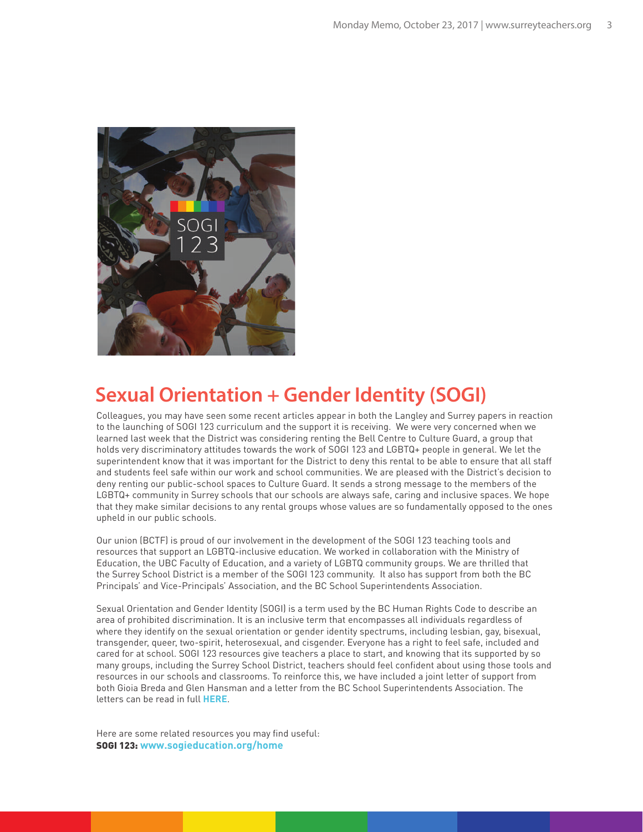

### **Sexual Orientation + Gender Identity (SOGI)**

Colleagues, you may have seen some recent articles appear in both the Langley and Surrey papers in reaction to the launching of SOGI 123 curriculum and the support it is receiving. We were very concerned when we learned last week that the District was considering renting the Bell Centre to Culture Guard, a group that holds very discriminatory attitudes towards the work of SOGI 123 and LGBTQ+ people in general. We let the superintendent know that it was important for the District to deny this rental to be able to ensure that all staff and students feel safe within our work and school communities. We are pleased with the District's decision to deny renting our public-school spaces to Culture Guard. It sends a strong message to the members of the LGBTQ+ community in Surrey schools that our schools are always safe, caring and inclusive spaces. We hope that they make similar decisions to any rental groups whose values are so fundamentally opposed to the ones upheld in our public schools.

Our union (BCTF) is proud of our involvement in the development of the SOGI 123 teaching tools and resources that support an LGBTQ-inclusive education. We worked in collaboration with the Ministry of Education, the UBC Faculty of Education, and a variety of LGBTQ community groups. We are thrilled that the Surrey School District is a member of the SOGI 123 community. It also has support from both the BC Principals' and Vice-Principals' Association, and the BC School Superintendents Association.

Sexual Orientation and Gender Identity (SOGI) is a term used by the BC Human Rights Code to describe an area of prohibited discrimination. It is an inclusive term that encompasses all individuals regardless of where they identify on the sexual orientation or gender identity spectrums, including lesbian, gay, bisexual, transgender, queer, two-spirit, heterosexual, and cisgender. Everyone has a right to feel safe, included and cared for at school. SOGI 123 resources give teachers a place to start, and knowing that its supported by so many groups, including the Surrey School District, teachers should feel confident about using those tools and resources in our schools and classrooms. To reinforce this, we have included a joint letter of support from both Gioia Breda and Glen Hansman and a letter from the BC School Superintendents Association. The letters can be read in full **[HERE](http://bit.ly/2gIxAgx)**.

Here are some related resources you may find useful: SOGI 123: **www.sogieducation.org/home**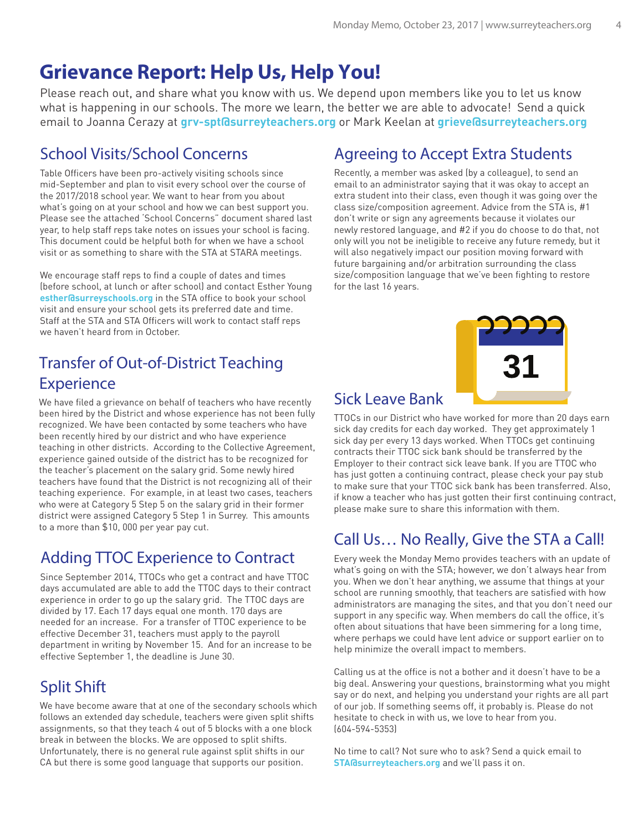# **Grievance Report: Help Us, Help You!**

Please reach out, and share what you know with us. We depend upon members like you to let us know what is happening in our schools. The more we learn, the better we are able to advocate! Send a quick email to Joanna Cerazy at **grv-spt@surreyteachers.org** or Mark Keelan at **grieve@surreyteachers.org**

#### School Visits/School Concerns

Table Officers have been pro-actively visiting schools since mid-September and plan to visit every school over the course of the 2017/2018 school year. We want to hear from you about what's going on at your school and how we can best support you. Please see the attached 'School Concerns" document shared last year, to help staff reps take notes on issues your school is facing. This document could be helpful both for when we have a school visit or as something to share with the STA at STARA meetings.

We encourage staff reps to find a couple of dates and times (before school, at lunch or after school) and contact Esther Young **esther@surreyschools.org** in the STA office to book your school visit and ensure your school gets its preferred date and time. Staff at the STA and STA Officers will work to contact staff reps we haven't heard from in October.

### Transfer of Out-of-District Teaching **Experience**

We have filed a grievance on behalf of teachers who have recently  $Sick$  Leave Bank been hired by the District and whose experience has not been fully recognized. We have been contacted by some teachers who have been recently hired by our district and who have experience teaching in other districts. According to the Collective Agreement, experience gained outside of the district has to be recognized for the teacher's placement on the salary grid. Some newly hired teachers have found that the District is not recognizing all of their teaching experience. For example, in at least two cases, teachers who were at Category 5 Step 5 on the salary grid in their former district were assigned Category 5 Step 1 in Surrey. This amounts to a more than \$10, 000 per year pay cut.

### Adding TTOC Experience to Contract

Since September 2014, TTOCs who get a contract and have TTOC days accumulated are able to add the TTOC days to their contract experience in order to go up the salary grid. The TTOC days are divided by 17. Each 17 days equal one month. 170 days are needed for an increase. For a transfer of TTOC experience to be effective December 31, teachers must apply to the payroll department in writing by November 15. And for an increase to be effective September 1, the deadline is June 30.

### Split Shift

We have become aware that at one of the secondary schools which follows an extended day schedule, teachers were given split shifts assignments, so that they teach 4 out of 5 blocks with a one block break in between the blocks. We are opposed to split shifts. Unfortunately, there is no general rule against split shifts in our CA but there is some good language that supports our position.

### Agreeing to Accept Extra Students

Recently, a member was asked (by a colleague), to send an email to an administrator saying that it was okay to accept an extra student into their class, even though it was going over the class size/composition agreement. Advice from the STA is, #1 don't write or sign any agreements because it violates our newly restored language, and #2 if you do choose to do that, not only will you not be ineligible to receive any future remedy, but it will also negatively impact our position moving forward with future bargaining and/or arbitration surrounding the class size/composition language that we've been fighting to restore for the last 16 years.

TTOCs in our District who have worked for more than 20 days earn sick day credits for each day worked. They get approximately 1 sick day per every 13 days worked. When TTOCs get continuing contracts their TTOC sick bank should be transferred by the Employer to their contract sick leave bank. If you are TTOC who has just gotten a continuing contract, please check your pay stub to make sure that your TTOC sick bank has been transferred. Also, if know a teacher who has just gotten their first continuing contract, please make sure to share this information with them.

### Call Us… No Really, Give the STA a Call!

Every week the Monday Memo provides teachers with an update of what's going on with the STA; however, we don't always hear from you. When we don't hear anything, we assume that things at your school are running smoothly, that teachers are satisfied with how administrators are managing the sites, and that you don't need our support in any specific way. When members do call the office, it's often about situations that have been simmering for a long time, where perhaps we could have lent advice or support earlier on to help minimize the overall impact to members.

Calling us at the office is not a bother and it doesn't have to be a big deal. Answering your questions, brainstorming what you might say or do next, and helping you understand your rights are all part of our job. If something seems off, it probably is. Please do not hesitate to check in with us, we love to hear from you. (604-594-5353)

No time to call? Not sure who to ask? Send a quick email to **STA@surreyteachers.org** and we'll pass it on.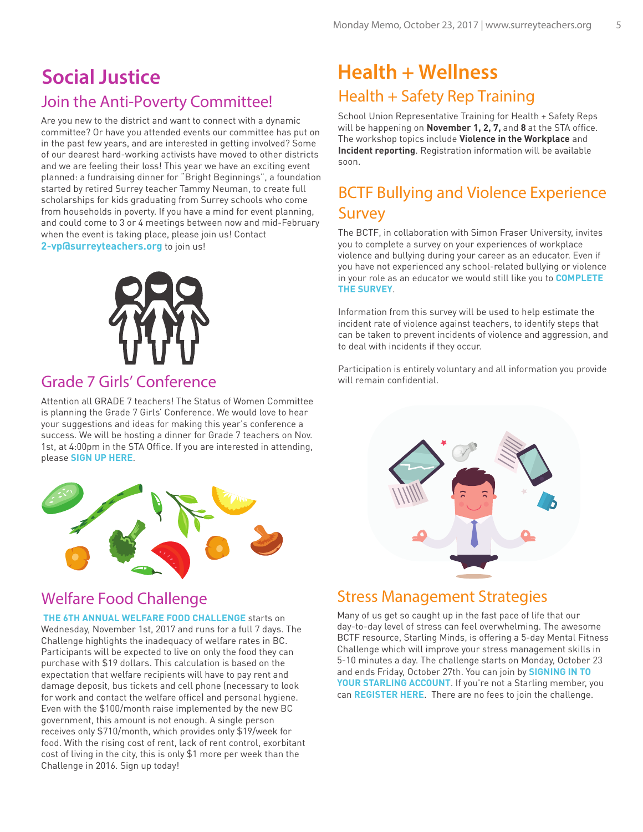### Join the Anti-Poverty Committee! **Social Justice**

Are you new to the district and want to connect with a dynamic committee? Or have you attended events our committee has put on in the past few years, and are interested in getting involved? Some of our dearest hard-working activists have moved to other districts and we are feeling their loss! This year we have an exciting event planned: a fundraising dinner for "Bright Beginnings", a foundation started by retired Surrey teacher Tammy Neuman, to create full scholarships for kids graduating from Surrey schools who come from households in poverty. If you have a mind for event planning, and could come to 3 or 4 meetings between now and mid-February when the event is taking place, please join us! Contact **2-vp@surreyteachers.org** to join us!



#### Grade 7 Girls' Conference

Attention all GRADE 7 teachers! The Status of Women Committee is planning the Grade 7 Girls' Conference. We would love to hear your suggestions and ideas for making this year's conference a success. We will be hosting a dinner for Grade 7 teachers on Nov. 1st, at 4:00pm in the STA Office. If you are interested in attending, please **[SIGN UP HERE](https://girlsconferenceplanningdinner-20171101.eventbrite.ca)**.



#### Welfare Food Challenge

 **[THE 6TH ANNUAL WELFARE FOOD CHALLENGE](https://bcpovertyreduction.nationbuilder.com/r?u=https%3A%2F%2Fwelfarefoodchallenge.org%2F2017challenge%2F&e=40c1bdbb3ce1da59d00f9b77019af49f&utm_source=bcpovertyreduction&utm_medium=email&utm_campaign=october2017&n=16)** starts on Wednesday, November 1st, 2017 and runs for a full 7 days. The Challenge highlights the inadequacy of welfare rates in BC. Participants will be expected to live on only the food they can purchase with \$19 dollars. This calculation is based on the expectation that welfare recipients will have to pay rent and damage deposit, bus tickets and cell phone (necessary to look for work and contact the welfare office) and personal hygiene. Even with the \$100/month raise implemented by the new BC government, this amount is not enough. A single person receives only \$710/month, which provides only \$19/week for food. With the rising cost of rent, lack of rent control, exorbitant cost of living in the city, this is only \$1 more per week than the Challenge in 2016. Sign up today!

### Health + Safety Rep Training **Health + Wellness**

School Union Representative Training for Health + Safety Reps will be happening on **November 1, 2, 7,** and **8** at the STA office. The workshop topics include **Violence in the Workplace** and **Incident reporting**. Registration information will be available soon.

### BCTF Bullying and Violence Experience Survey

The BCTF, in collaboration with Simon Fraser University, invites you to complete a survey on your experiences of workplace violence and bullying during your career as an educator. Even if you have not experienced any school-related bullying or violence in your role as an educator we would still like you to **[COMPLETE](https://sfufas.ca1.qualtrics.com/jfe/form/SV_bqnIECJd3tAUaKF)  [THE SURVEY](https://sfufas.ca1.qualtrics.com/jfe/form/SV_bqnIECJd3tAUaKF)**.

Information from this survey will be used to help estimate the incident rate of violence against teachers, to identify steps that can be taken to prevent incidents of violence and aggression, and to deal with incidents if they occur.

Participation is entirely voluntary and all information you provide will remain confidential.



#### Stress Management Strategies

Many of us get so caught up in the fast pace of life that our day-to-day level of stress can feel overwhelming. The awesome BCTF resource, Starling Minds, is offering a 5-day Mental Fitness Challenge which will improve your stress management skills in 5-10 minutes a day. The challenge starts on Monday, October 23 and ends Friday, October 27th. You can join by **[SIGNING IN TO](https://app.starlingminds.com/)  [YOUR STARLING ACCOUNT](https://app.starlingminds.com/)**. If you're not a Starling member, you can **[REGISTER HERE](https://app.starlingminds.com/registration)**. There are no fees to join the challenge.